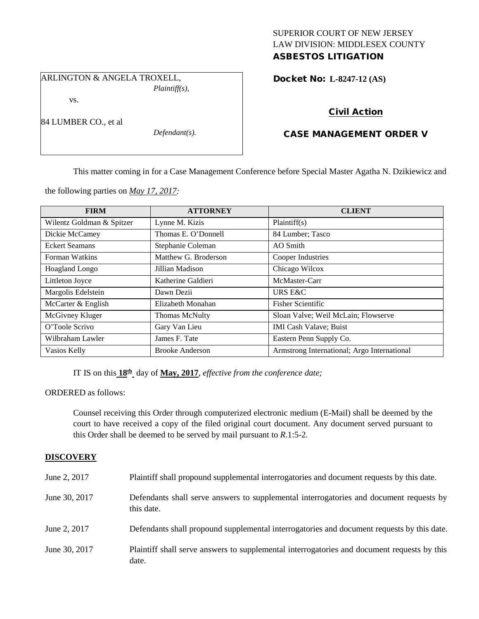## SUPERIOR COURT OF NEW JERSEY LAW DIVISION: MIDDLESEX COUNTY ASBESTOS LITIGATION

ARLINGTON & ANGELA TROXELL, *Plaintiff(s),*

vs.

84 LUMBER CO., et al

*Defendant(s).*

Docket No: **L-8247-12 (AS)** 

# Civil Action

## CASE MANAGEMENT ORDER V

This matter coming in for a Case Management Conference before Special Master Agatha N. Dzikiewicz and

the following parties on *May 17, 2017:*

| <b>FIRM</b>               | <b>ATTORNEY</b>        | <b>CLIENT</b>                               |
|---------------------------|------------------------|---------------------------------------------|
| Wilentz Goldman & Spitzer | Lynne M. Kizis         | Plaintiff(s)                                |
| Dickie McCamey            | Thomas E. O'Donnell    | 84 Lumber; Tasco                            |
| <b>Eckert Seamans</b>     | Stephanie Coleman      | AO Smith                                    |
| Forman Watkins            | Matthew G. Broderson   | Cooper Industries                           |
| <b>Hoagland Longo</b>     | Jillian Madison        | Chicago Wilcox                              |
| Littleton Joyce           | Katherine Galdieri     | McMaster-Carr                               |
| Margolis Edelstein        | Dawn Dezii             | URS E&C                                     |
| McCarter & English        | Elizabeth Monahan      | <b>Fisher Scientific</b>                    |
| McGivney Kluger           | Thomas McNulty         | Sloan Valve; Weil McLain; Flowserve         |
| O'Toole Scrivo            | Gary Van Lieu          | <b>IMI Cash Valave</b> ; Buist              |
| Wilbraham Lawler          | James F. Tate          | Eastern Penn Supply Co.                     |
| Vasios Kelly              | <b>Brooke Anderson</b> | Armstrong International; Argo International |

IT IS on this **18th** day of **May, 2017**, *effective from the conference date;*

ORDERED as follows:

Counsel receiving this Order through computerized electronic medium (E-Mail) shall be deemed by the court to have received a copy of the filed original court document. Any document served pursuant to this Order shall be deemed to be served by mail pursuant to *R*.1:5-2.

### **DISCOVERY**

| June 2, 2017  | Plaintiff shall propound supplemental interrogatories and document requests by this date.             |
|---------------|-------------------------------------------------------------------------------------------------------|
| June 30, 2017 | Defendants shall serve answers to supplemental interrogatories and document requests by<br>this date. |
| June 2, 2017  | Defendants shall propound supplemental interrogatories and document requests by this date.            |
| June 30, 2017 | Plaintiff shall serve answers to supplemental interrogatories and document requests by this<br>date.  |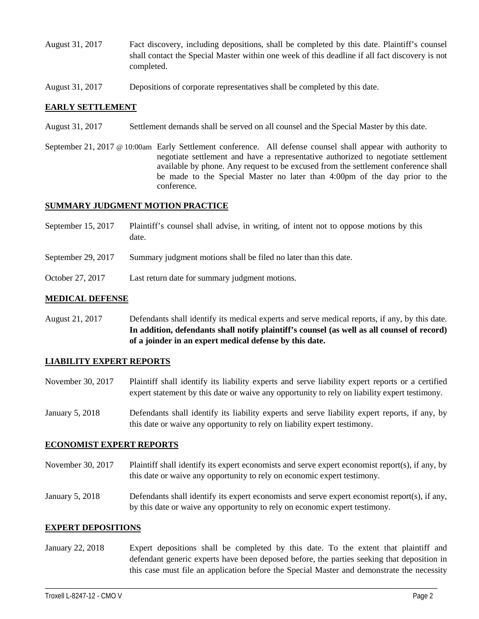- August 31, 2017 Fact discovery, including depositions, shall be completed by this date. Plaintiff's counsel shall contact the Special Master within one week of this deadline if all fact discovery is not completed.
- August 31, 2017 Depositions of corporate representatives shall be completed by this date.

#### **EARLY SETTLEMENT**

- August 31, 2017 Settlement demands shall be served on all counsel and the Special Master by this date.
- September 21, 2017 @ 10:00am Early Settlement conference. All defense counsel shall appear with authority to negotiate settlement and have a representative authorized to negotiate settlement available by phone. Any request to be excused from the settlement conference shall be made to the Special Master no later than 4:00pm of the day prior to the conference.

### **SUMMARY JUDGMENT MOTION PRACTICE**

- September 15, 2017 Plaintiff's counsel shall advise, in writing, of intent not to oppose motions by this date.
- September 29, 2017 Summary judgment motions shall be filed no later than this date.
- October 27, 2017 Last return date for summary judgment motions.

#### **MEDICAL DEFENSE**

August 21, 2017 Defendants shall identify its medical experts and serve medical reports, if any, by this date. **In addition, defendants shall notify plaintiff's counsel (as well as all counsel of record) of a joinder in an expert medical defense by this date.**

#### **LIABILITY EXPERT REPORTS**

- November 30, 2017 Plaintiff shall identify its liability experts and serve liability expert reports or a certified expert statement by this date or waive any opportunity to rely on liability expert testimony.
- January 5, 2018 Defendants shall identify its liability experts and serve liability expert reports, if any, by this date or waive any opportunity to rely on liability expert testimony.

#### **ECONOMIST EXPERT REPORTS**

- November 30, 2017 Plaintiff shall identify its expert economists and serve expert economist report(s), if any, by this date or waive any opportunity to rely on economic expert testimony.
- January 5, 2018 Defendants shall identify its expert economists and serve expert economist report(s), if any, by this date or waive any opportunity to rely on economic expert testimony.

#### **EXPERT DEPOSITIONS**

January 22, 2018 Expert depositions shall be completed by this date. To the extent that plaintiff and defendant generic experts have been deposed before, the parties seeking that deposition in this case must file an application before the Special Master and demonstrate the necessity

\_\_\_\_\_\_\_\_\_\_\_\_\_\_\_\_\_\_\_\_\_\_\_\_\_\_\_\_\_\_\_\_\_\_\_\_\_\_\_\_\_\_\_\_\_\_\_\_\_\_\_\_\_\_\_\_\_\_\_\_\_\_\_\_\_\_\_\_\_\_\_\_\_\_\_\_\_\_\_\_\_\_\_\_\_\_\_\_\_\_\_\_\_\_\_\_\_\_\_\_\_\_\_\_\_\_\_\_\_\_